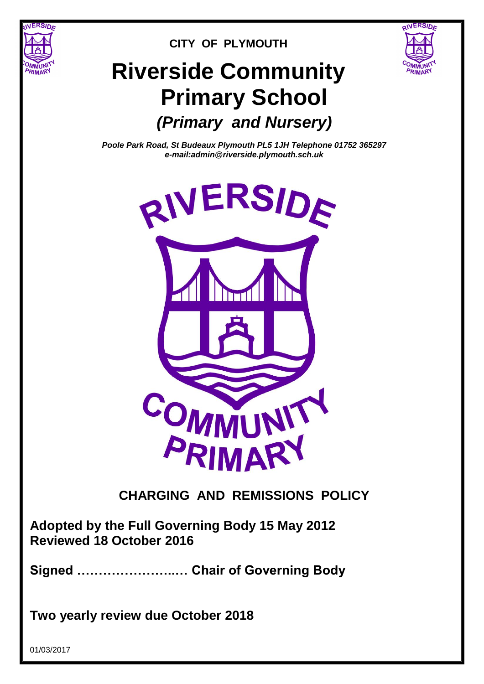

# **CITY OF PLYMOUTH**

RIVERSID<sub>E</sub>

# **Riverside Community Primary School** *(Primary and Nursery)*

*Poole Park Road, St Budeaux Plymouth PL5 1JH Telephone 01752 365297 e-mail:admin@riverside.plymouth.sch.uk*



**Adopted by the Full Governing Body 15 May 2012 Reviewed 18 October 2016**

**Signed …………………..… Chair of Governing Body**

**Two yearly review due October 2018**

01/03/2017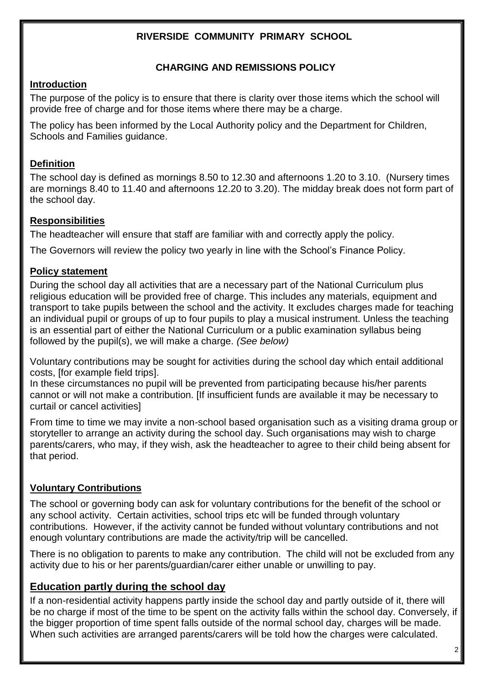# **RIVERSIDE COMMUNITY PRIMARY SCHOOL**

#### **CHARGING AND REMISSIONS POLICY**

#### **Introduction**

The purpose of the policy is to ensure that there is clarity over those items which the school will provide free of charge and for those items where there may be a charge.

The policy has been informed by the Local Authority policy and the [Department for Children,](http://www.dcsf.gov.uk/)  [Schools and Families](http://www.dcsf.gov.uk/) guidance.

## **Definition**

The school day is defined as mornings 8.50 to 12.30 and afternoons 1.20 to 3.10. (Nursery times are mornings 8.40 to 11.40 and afternoons 12.20 to 3.20). The midday break does not form part of the school day.

# **Responsibilities**

The headteacher will ensure that staff are familiar with and correctly apply the policy.

The Governors will review the policy two yearly in line with the School's Finance Policy.

## **Policy statement**

During the school day all activities that are a necessary part of the National Curriculum plus religious education will be provided free of charge. This includes any materials, equipment and transport to take pupils between the school and the activity. It excludes charges made for teaching an individual pupil or groups of up to four pupils to play a musical instrument. Unless the teaching is an essential part of either the National Curriculum or a public examination syllabus being followed by the pupil(s), we will make a charge. *(See below)*

Voluntary contributions may be sought for activities during the school day which entail additional costs, [for example field trips].

In these circumstances no pupil will be prevented from participating because his/her parents cannot or will not make a contribution. [If insufficient funds are available it may be necessary to curtail or cancel activities]

From time to time we may invite a non-school based organisation such as a visiting drama group or storyteller to arrange an activity during the school day. Such organisations may wish to charge parents/carers, who may, if they wish, ask the headteacher to agree to their child being absent for that period.

# **Voluntary Contributions**

The school or governing body can ask for voluntary contributions for the benefit of the school or any school activity. Certain activities, school trips etc will be funded through voluntary contributions. However, if the activity cannot be funded without voluntary contributions and not enough voluntary contributions are made the activity/trip will be cancelled.

There is no obligation to parents to make any contribution. The child will not be excluded from any activity due to his or her parents/guardian/carer either unable or unwilling to pay.

# **Education partly during the school day**

If a non-residential activity happens partly inside the school day and partly outside of it, there will be no charge if most of the time to be spent on the activity falls within the school day. Conversely, if the bigger proportion of time spent falls outside of the normal school day, charges will be made. When such activities are arranged parents/carers will be told how the charges were calculated.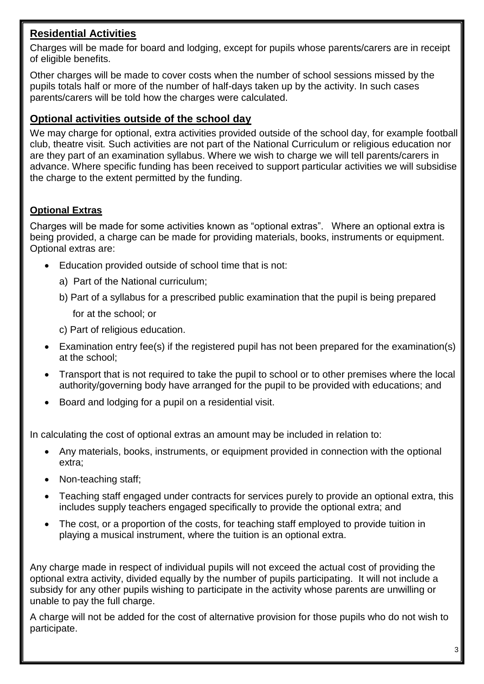# **Residential Activities**

Charges will be made for board and lodging, except for pupils whose parents/carers are in receipt of eligible benefits.

Other charges will be made to cover costs when the number of school sessions missed by the pupils totals half or more of the number of half-days taken up by the activity. In such cases parents/carers will be told how the charges were calculated.

# **Optional activities outside of the school day**

We may charge for optional, extra activities provided outside of the school day, for example football club, theatre visit*.* Such activities are not part of the National Curriculum or religious education nor are they part of an examination syllabus. Where we wish to charge we will tell parents/carers in advance. Where specific funding has been received to support particular activities we will subsidise the charge to the extent permitted by the funding.

# **Optional Extras**

Charges will be made for some activities known as "optional extras". Where an optional extra is being provided, a charge can be made for providing materials, books, instruments or equipment. Optional extras are:

- Education provided outside of school time that is not:
	- a) Part of the National curriculum;
	- b) Part of a syllabus for a prescribed public examination that the pupil is being prepared for at the school; or
	- c) Part of religious education.
- Examination entry fee(s) if the registered pupil has not been prepared for the examination(s) at the school;
- Transport that is not required to take the pupil to school or to other premises where the local authority/governing body have arranged for the pupil to be provided with educations; and
- Board and lodging for a pupil on a residential visit.

In calculating the cost of optional extras an amount may be included in relation to:

- Any materials, books, instruments, or equipment provided in connection with the optional extra;
- Non-teaching staff:
- Teaching staff engaged under contracts for services purely to provide an optional extra, this includes supply teachers engaged specifically to provide the optional extra; and
- The cost, or a proportion of the costs, for teaching staff employed to provide tuition in playing a musical instrument, where the tuition is an optional extra.

Any charge made in respect of individual pupils will not exceed the actual cost of providing the optional extra activity, divided equally by the number of pupils participating. It will not include a subsidy for any other pupils wishing to participate in the activity whose parents are unwilling or unable to pay the full charge.

A charge will not be added for the cost of alternative provision for those pupils who do not wish to participate.